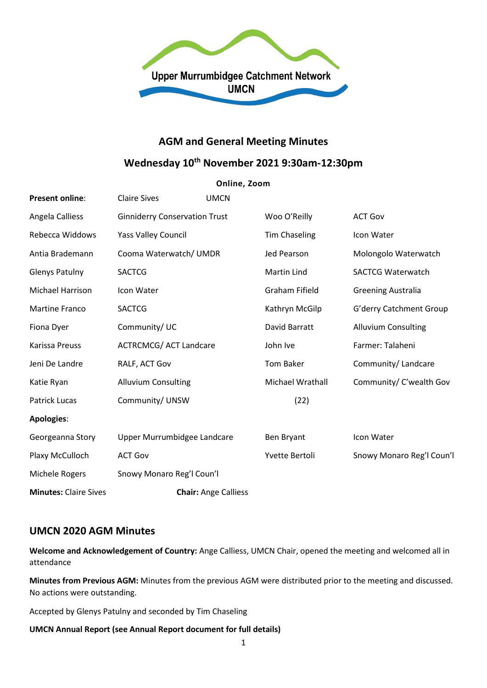

## **AGM and General Meeting Minutes**

# **Wednesday 10th November 2021 9:30am-12:30pm**

#### **Online, Zoom**

| <b>Present online:</b>       | <b>Claire Sives</b>                  | <b>UMCN</b>                 |                       |                            |
|------------------------------|--------------------------------------|-----------------------------|-----------------------|----------------------------|
| Angela Calliess              | <b>Ginniderry Conservation Trust</b> |                             | Woo O'Reilly          | <b>ACT Gov</b>             |
| Rebecca Widdows              | <b>Yass Valley Council</b>           |                             | <b>Tim Chaseling</b>  | Icon Water                 |
| Antia Brademann              | Cooma Waterwatch/ UMDR               |                             | Jed Pearson           | Molongolo Waterwatch       |
| <b>Glenys Patulny</b>        | <b>SACTCG</b>                        |                             | <b>Martin Lind</b>    | <b>SACTCG Waterwatch</b>   |
| Michael Harrison             | Icon Water                           |                             | <b>Graham Fifield</b> | <b>Greening Australia</b>  |
| <b>Martine Franco</b>        | <b>SACTCG</b>                        |                             | Kathryn McGilp        | G'derry Catchment Group    |
| Fiona Dyer                   | Community/UC                         |                             | David Barratt         | <b>Alluvium Consulting</b> |
| Karissa Preuss               | <b>ACTRCMCG/ ACT Landcare</b>        |                             | John Ive              | Farmer: Talaheni           |
| Jeni De Landre               | RALF, ACT Gov                        |                             | Tom Baker             | Community/ Landcare        |
| Katie Ryan                   | <b>Alluvium Consulting</b>           |                             | Michael Wrathall      | Community/ C'wealth Gov    |
| <b>Patrick Lucas</b>         | Community/ UNSW                      |                             | (22)                  |                            |
| Apologies:                   |                                      |                             |                       |                            |
| Georgeanna Story             | Upper Murrumbidgee Landcare          |                             | Ben Bryant            | Icon Water                 |
| Plaxy McCulloch              | <b>ACT Gov</b>                       |                             | Yvette Bertoli        | Snowy Monaro Reg'l Coun'l  |
| Michele Rogers               | Snowy Monaro Reg'l Coun'l            |                             |                       |                            |
| <b>Minutes: Claire Sives</b> |                                      | <b>Chair: Ange Calliess</b> |                       |                            |

## **UMCN 2020 AGM Minutes**

**Welcome and Acknowledgement of Country:** Ange Calliess, UMCN Chair, opened the meeting and welcomed all in attendance

**Minutes from Previous AGM:** Minutes from the previous AGM were distributed prior to the meeting and discussed. No actions were outstanding.

Accepted by Glenys Patulny and seconded by Tim Chaseling

#### **UMCN Annual Report (see Annual Report document for full details)**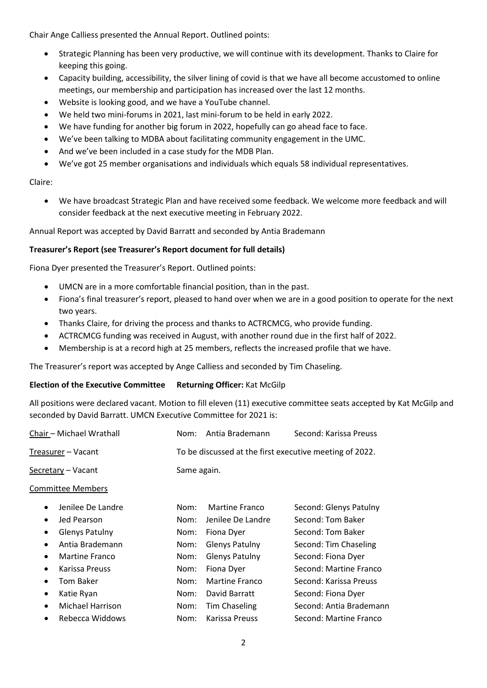Chair Ange Calliess presented the Annual Report. Outlined points:

- Strategic Planning has been very productive, we will continue with its development. Thanks to Claire for keeping this going.
- Capacity building, accessibility, the silver lining of covid is that we have all become accustomed to online meetings, our membership and participation has increased over the last 12 months.
- Website is looking good, and we have a YouTube channel.
- We held two mini-forums in 2021, last mini-forum to be held in early 2022.
- We have funding for another big forum in 2022, hopefully can go ahead face to face.
- We've been talking to MDBA about facilitating community engagement in the UMC.
- And we've been included in a case study for the MDB Plan.
- We've got 25 member organisations and individuals which equals 58 individual representatives.

### Claire:

• We have broadcast Strategic Plan and have received some feedback. We welcome more feedback and will consider feedback at the next executive meeting in February 2022.

Annual Report was accepted by David Barratt and seconded by Antia Brademann

### **Treasurer's Report (see Treasurer's Report document for full details)**

Fiona Dyer presented the Treasurer's Report. Outlined points:

- UMCN are in a more comfortable financial position, than in the past.
- Fiona's final treasurer's report, pleased to hand over when we are in a good position to operate for the next two years.
- Thanks Claire, for driving the process and thanks to ACTRCMCG, who provide funding.
- ACTRCMCG funding was received in August, with another round due in the first half of 2022.
- Membership is at a record high at 25 members, reflects the increased profile that we have.

The Treasurer's report was accepted by Ange Calliess and seconded by Tim Chaseling.

#### **Election of the Executive Committee Returning Officer:** Kat McGilp

All positions were declared vacant. Motion to fill eleven (11) executive committee seats accepted by Kat McGilp and seconded by David Barratt. UMCN Executive Committee for 2021 is:

| Chair - Michael Wrathall           | Nom: | Antia Brademann                                         | Second: Karissa Preuss  |  |  |
|------------------------------------|------|---------------------------------------------------------|-------------------------|--|--|
| Treasurer – Vacant                 |      | To be discussed at the first executive meeting of 2022. |                         |  |  |
| Secretary – Vacant                 |      | Same again.                                             |                         |  |  |
| <b>Committee Members</b>           |      |                                                         |                         |  |  |
| Jenilee De Landre<br>$\bullet$     | Nom: | <b>Martine Franco</b>                                   | Second: Glenys Patulny  |  |  |
| Jed Pearson<br>$\bullet$           | Nom: | Jenilee De Landre                                       | Second: Tom Baker       |  |  |
| <b>Glenys Patulny</b><br>$\bullet$ | Nom: | Fiona Dyer                                              | Second: Tom Baker       |  |  |
| Antia Brademann<br>$\bullet$       | Nom: | <b>Glenys Patulny</b>                                   | Second: Tim Chaseling   |  |  |
| Martine Franco<br>$\bullet$        | Nom: | <b>Glenys Patulny</b>                                   | Second: Fiona Dyer      |  |  |
| Karissa Preuss<br>$\bullet$        | Nom: | Fiona Dyer                                              | Second: Martine Franco  |  |  |
| <b>Tom Baker</b><br>$\bullet$      | Nom: | Martine Franco                                          | Second: Karissa Preuss  |  |  |
| Katie Ryan<br>$\bullet$            | Nom: | David Barratt                                           | Second: Fiona Dyer      |  |  |
| Michael Harrison<br>$\bullet$      | Nom: | Tim Chaseling                                           | Second: Antia Brademann |  |  |
| Rebecca Widdows<br>$\bullet$       | Nom: | Karissa Preuss                                          | Second: Martine Franco  |  |  |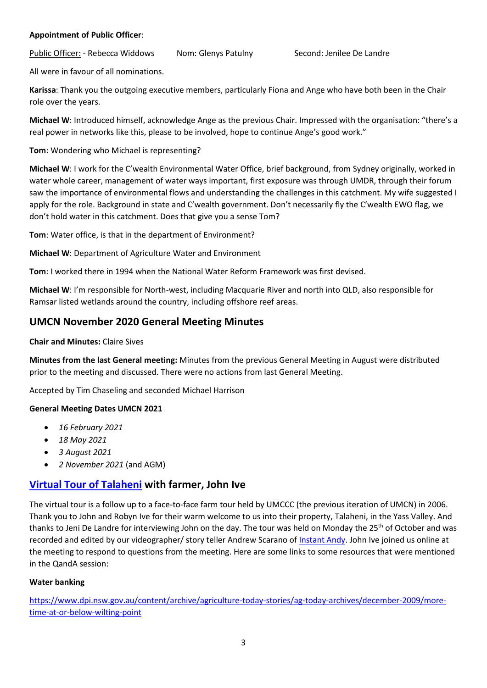#### **Appointment of Public Officer**:

Public Officer: - Rebecca Widdows Nom: Glenys Patulny Second: Jenilee De Landre

All were in favour of all nominations.

**Karissa**: Thank you the outgoing executive members, particularly Fiona and Ange who have both been in the Chair role over the years.

**Michael W**: Introduced himself, acknowledge Ange as the previous Chair. Impressed with the organisation: "there's a real power in networks like this, please to be involved, hope to continue Ange's good work."

**Tom**: Wondering who Michael is representing?

**Michael W**: I work for the C'wealth Environmental Water Office, brief background, from Sydney originally, worked in water whole career, management of water ways important, first exposure was through UMDR, through their forum saw the importance of environmental flows and understanding the challenges in this catchment. My wife suggested I apply for the role. Background in state and C'wealth government. Don't necessarily fly the C'wealth EWO flag, we don't hold water in this catchment. Does that give you a sense Tom?

**Tom**: Water office, is that in the department of Environment?

**Michael W**: Department of Agriculture Water and Environment

**Tom**: I worked there in 1994 when the National Water Reform Framework was first devised.

**Michael W**: I'm responsible for North-west, including Macquarie River and north into QLD, also responsible for Ramsar listed wetlands around the country, including offshore reef areas.

## **UMCN November 2020 General Meeting Minutes**

**Chair and Minutes:** Claire Sives

**Minutes from the last General meeting:** Minutes from the previous General Meeting in August were distributed prior to the meeting and discussed. There were no actions from last General Meeting.

Accepted by Tim Chaseling and seconded Michael Harrison

#### **General Meeting Dates UMCN 2021**

- *16 February 2021*
- *18 May 2021*
- *3 August 2021*
- *2 November 2021* (and AGM)

## **[Virtual Tour of Talaheni](https://www.youtube.com/watch?v=ZpDVjBj5l4o&t=269s) with farmer, John Ive**

The virtual tour is a follow up to a face-to-face farm tour held by UMCCC (the previous iteration of UMCN) in 2006. Thank you to John and Robyn Ive for their warm welcome to us into their property, Talaheni, in the Yass Valley. And thanks to Jeni De Landre for interviewing John on the day. The tour was held on Monday the 25<sup>th</sup> of October and was recorded and edited by our videographer/ story teller Andrew Scarano o[f Instant Andy.](https://www.instantandy.tv/) John Ive joined us online at the meeting to respond to questions from the meeting. Here are some links to some resources that were mentioned in the QandA session:

#### **Water banking**

[https://www.dpi.nsw.gov.au/content/archive/agriculture-today-stories/ag-today-archives/december-2009/more](https://www.dpi.nsw.gov.au/content/archive/agriculture-today-stories/ag-today-archives/december-2009/more-time-at-or-below-wilting-point)[time-at-or-below-wilting-point](https://www.dpi.nsw.gov.au/content/archive/agriculture-today-stories/ag-today-archives/december-2009/more-time-at-or-below-wilting-point)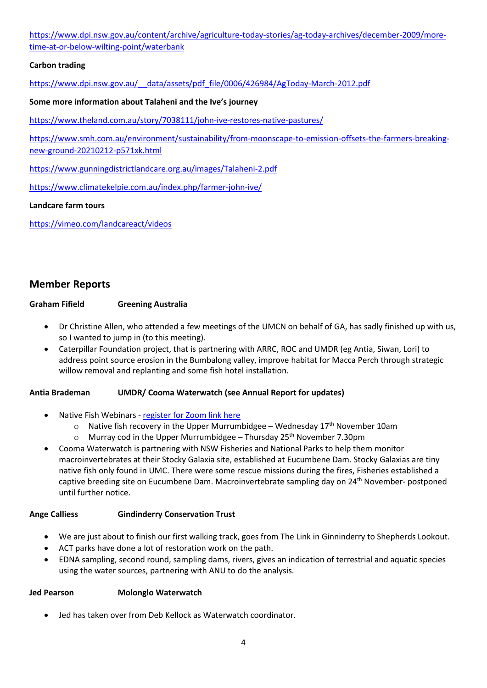[https://www.dpi.nsw.gov.au/content/archive/agriculture-today-stories/ag-today-archives/december-2009/more](https://www.dpi.nsw.gov.au/content/archive/agriculture-today-stories/ag-today-archives/december-2009/more-time-at-or-below-wilting-point/waterbank)[time-at-or-below-wilting-point/waterbank](https://www.dpi.nsw.gov.au/content/archive/agriculture-today-stories/ag-today-archives/december-2009/more-time-at-or-below-wilting-point/waterbank)

## **Carbon trading**

[https://www.dpi.nsw.gov.au/\\_\\_data/assets/pdf\\_file/0006/426984/AgToday-March-2012.pdf](https://www.dpi.nsw.gov.au/__data/assets/pdf_file/0006/426984/AgToday-March-2012.pdf)

#### **Some more information about Talaheni and the Ive's journey**

<https://www.theland.com.au/story/7038111/john-ive-restores-native-pastures/>

[https://www.smh.com.au/environment/sustainability/from-moonscape-to-emission-offsets-the-farmers-breaking](https://www.smh.com.au/environment/sustainability/from-moonscape-to-emission-offsets-the-farmers-breaking-new-ground-20210212-p571xk.html)[new-ground-20210212-p571xk.html](https://www.smh.com.au/environment/sustainability/from-moonscape-to-emission-offsets-the-farmers-breaking-new-ground-20210212-p571xk.html)

<https://www.gunningdistrictlandcare.org.au/images/Talaheni-2.pdf>

<https://www.climatekelpie.com.au/index.php/farmer-john-ive/>

#### **Landcare farm tours**

<https://vimeo.com/landcareact/videos>

## **Member Reports**

#### **Graham Fifield Greening Australia**

- Dr Christine Allen, who attended a few meetings of the UMCN on behalf of GA, has sadly finished up with us, so I wanted to jump in (to this meeting).
- Caterpillar Foundation project, that is partnering with ARRC, ROC and UMDR (eg Antia, Siwan, Lori) to address point source erosion in the Bumbalong valley, improve habitat for Macca Perch through strategic willow removal and replanting and some fish hotel installation.

### **Antia Brademan UMDR/ Cooma Waterwatch (see Annual Report for updates)**

- Native Fish Webinars [register for Zoom link here](https://us02web.zoom.us/meeting/register/tZ0ude6vrDMtHN2udecTWlkLg3kv72_LDT2S)
	- $\circ$  Native fish recovery in the Upper Murrumbidgee Wednesday 17<sup>th</sup> November 10am
	- $\circ$  Murray cod in the Upper Murrumbidgee Thursday 25<sup>th</sup> November 7.30pm
- Cooma Waterwatch is partnering with NSW Fisheries and National Parks to help them monitor macroinvertebrates at their Stocky Galaxia site, established at Eucumbene Dam. Stocky Galaxias are tiny native fish only found in UMC. There were some rescue missions during the fires, Fisheries established a captive breeding site on Eucumbene Dam. Macroinvertebrate sampling day on 24<sup>th</sup> November- postponed until further notice.

#### **Ange Calliess Gindinderry Conservation Trust**

- We are just about to finish our first walking track, goes from The Link in Ginninderry to Shepherds Lookout.
- ACT parks have done a lot of restoration work on the path.
- EDNA sampling, second round, sampling dams, rivers, gives an indication of terrestrial and aquatic species using the water sources, partnering with ANU to do the analysis.

#### **Jed Pearson Molonglo Waterwatch**

• Jed has taken over from Deb Kellock as Waterwatch coordinator.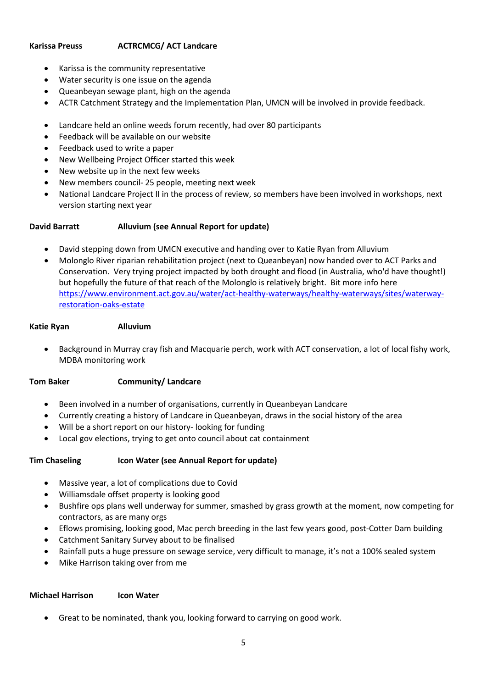### **Karissa Preuss ACTRCMCG/ ACT Landcare**

- Karissa is the community representative
- Water security is one issue on the agenda
- Queanbeyan sewage plant, high on the agenda
- ACTR Catchment Strategy and the Implementation Plan, UMCN will be involved in provide feedback.
- Landcare held an online weeds forum recently, had over 80 participants
- Feedback will be available on our website
- Feedback used to write a paper
- New Wellbeing Project Officer started this week
- New website up in the next few weeks
- New members council- 25 people, meeting next week
- National Landcare Project II in the process of review, so members have been involved in workshops, next version starting next year

## **David Barratt Alluvium (see Annual Report for update)**

- David stepping down from UMCN executive and handing over to Katie Ryan from Alluvium
- Molonglo River riparian rehabilitation project (next to Queanbeyan) now handed over to ACT Parks and Conservation. Very trying project impacted by both drought and flood (in Australia, who'd have thought!) but hopefully the future of that reach of the Molonglo is relatively bright. Bit more info here [https://www.environment.act.gov.au/water/act-healthy-waterways/healthy-waterways/sites/waterway](https://www.environment.act.gov.au/water/act-healthy-waterways/healthy-waterways/sites/waterway-restoration-oaks-estate)[restoration-oaks-estate](https://www.environment.act.gov.au/water/act-healthy-waterways/healthy-waterways/sites/waterway-restoration-oaks-estate)

### **Katie Ryan Alluvium**

• Background in Murray cray fish and Macquarie perch, work with ACT conservation, a lot of local fishy work, MDBA monitoring work

## **Tom Baker Community/ Landcare**

- Been involved in a number of organisations, currently in Queanbeyan Landcare
- Currently creating a history of Landcare in Queanbeyan, draws in the social history of the area
- Will be a short report on our history- looking for funding
- Local gov elections, trying to get onto council about cat containment

## **Tim Chaseling Icon Water (see Annual Report for update)**

- Massive year, a lot of complications due to Covid
- Williamsdale offset property is looking good
- Bushfire ops plans well underway for summer, smashed by grass growth at the moment, now competing for contractors, as are many orgs
- Eflows promising, looking good, Mac perch breeding in the last few years good, post-Cotter Dam building
- Catchment Sanitary Survey about to be finalised
- Rainfall puts a huge pressure on sewage service, very difficult to manage, it's not a 100% sealed system
- Mike Harrison taking over from me

### **Michael Harrison Icon Water**

• Great to be nominated, thank you, looking forward to carrying on good work.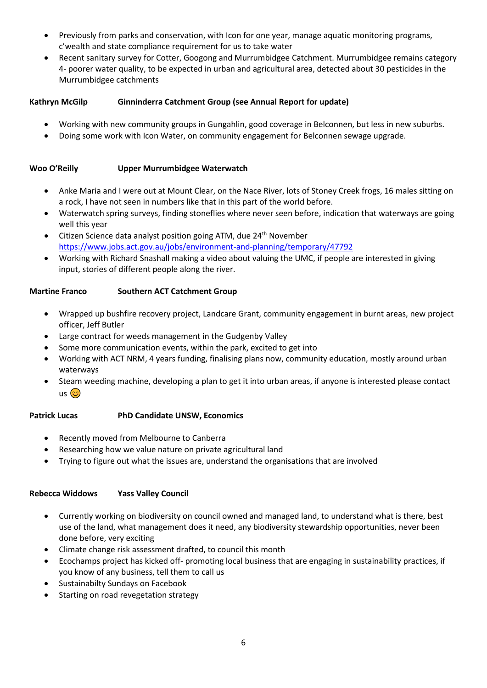- Previously from parks and conservation, with Icon for one year, manage aquatic monitoring programs, c'wealth and state compliance requirement for us to take water
- Recent sanitary survey for Cotter, Googong and Murrumbidgee Catchment. Murrumbidgee remains category 4- poorer water quality, to be expected in urban and agricultural area, detected about 30 pesticides in the Murrumbidgee catchments

## **Kathryn McGilp Ginninderra Catchment Group (see Annual Report for update)**

- Working with new community groups in Gungahlin, good coverage in Belconnen, but less in new suburbs.
- Doing some work with Icon Water, on community engagement for Belconnen sewage upgrade.

#### **Woo O'Reilly Upper Murrumbidgee Waterwatch**

- Anke Maria and I were out at Mount Clear, on the Nace River, lots of Stoney Creek frogs, 16 males sitting on a rock, I have not seen in numbers like that in this part of the world before.
- Waterwatch spring surveys, finding stoneflies where never seen before, indication that waterways are going well this year
- Citizen Science data analyst position going ATM, due 24<sup>th</sup> November <https://www.jobs.act.gov.au/jobs/environment-and-planning/temporary/47792>
- Working with Richard Snashall making a video about valuing the UMC, if people are interested in giving input, stories of different people along the river.

### **Martine Franco Southern ACT Catchment Group**

- Wrapped up bushfire recovery project, Landcare Grant, community engagement in burnt areas, new project officer, Jeff Butler
- Large contract for weeds management in the Gudgenby Valley
- Some more communication events, within the park, excited to get into
- Working with ACT NRM, 4 years funding, finalising plans now, community education, mostly around urban waterways
- Steam weeding machine, developing a plan to get it into urban areas, if anyone is interested please contact  $us$   $\odot$

### **Patrick Lucas PhD Candidate UNSW, Economics**

- Recently moved from Melbourne to Canberra
- Researching how we value nature on private agricultural land
- Trying to figure out what the issues are, understand the organisations that are involved

### **Rebecca Widdows Yass Valley Council**

- Currently working on biodiversity on council owned and managed land, to understand what is there, best use of the land, what management does it need, any biodiversity stewardship opportunities, never been done before, very exciting
- Climate change risk assessment drafted, to council this month
- Ecochamps project has kicked off- promoting local business that are engaging in sustainability practices, if you know of any business, tell them to call us
- Sustainabilty Sundays on Facebook
- Starting on road revegetation strategy